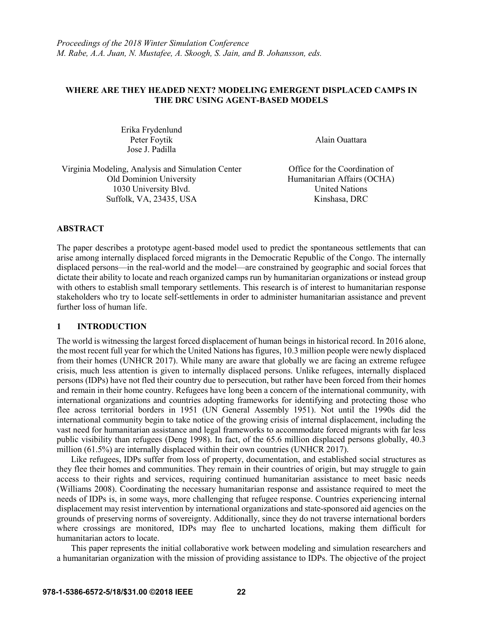## **WHERE ARE THEY HEADED NEXT? MODELING EMERGENT DISPLACED CAMPS IN THE DRC USING AGENT-BASED MODELS**

Erika Frydenlund Peter Foytik Jose J. Padilla

Alain Ouattara

Virginia Modeling, Analysis and Simulation Center Office for the Coordination of Old Dominion University Humanitarian Affairs (OCHA) 1030 University Blvd. United Nations Suffolk, VA, 23435, USA Kinshasa, DRC

## **ABSTRACT**

The paper describes a prototype agent-based model used to predict the spontaneous settlements that can arise among internally displaced forced migrants in the Democratic Republic of the Congo. The internally displaced persons—in the real-world and the model—are constrained by geographic and social forces that dictate their ability to locate and reach organized camps run by humanitarian organizations or instead group with others to establish small temporary settlements. This research is of interest to humanitarian response stakeholders who try to locate self-settlements in order to administer humanitarian assistance and prevent further loss of human life.

### **1 INTRODUCTION**

The world is witnessing the largest forced displacement of human beings in historical record. In 2016 alone, the most recent full year for which the United Nations has figures, 10.3 million people were newly displaced from their homes (UNHCR 2017). While many are aware that globally we are facing an extreme refugee crisis, much less attention is given to internally displaced persons. Unlike refugees, internally displaced persons (IDPs) have not fled their country due to persecution, but rather have been forced from their homes and remain in their home country. Refugees have long been a concern of the international community, with international organizations and countries adopting frameworks for identifying and protecting those who flee across territorial borders in 1951 (UN General Assembly 1951). Not until the 1990s did the international community begin to take notice of the growing crisis of internal displacement, including the vast need for humanitarian assistance and legal frameworks to accommodate forced migrants with far less public visibility than refugees (Deng 1998). In fact, of the 65.6 million displaced persons globally, 40.3 million (61.5%) are internally displaced within their own countries (UNHCR 2017).

Like refugees, IDPs suffer from loss of property, documentation, and established social structures as they flee their homes and communities. They remain in their countries of origin, but may struggle to gain access to their rights and services, requiring continued humanitarian assistance to meet basic needs (Williams 2008). Coordinating the necessary humanitarian response and assistance required to meet the needs of IDPs is, in some ways, more challenging that refugee response. Countries experiencing internal displacement may resist intervention by international organizations and state-sponsored aid agencies on the grounds of preserving norms of sovereignty. Additionally, since they do not traverse international borders where crossings are monitored, IDPs may flee to uncharted locations, making them difficult for humanitarian actors to locate.

This paper represents the initial collaborative work between modeling and simulation researchers and a humanitarian organization with the mission of providing assistance to IDPs. The objective of the project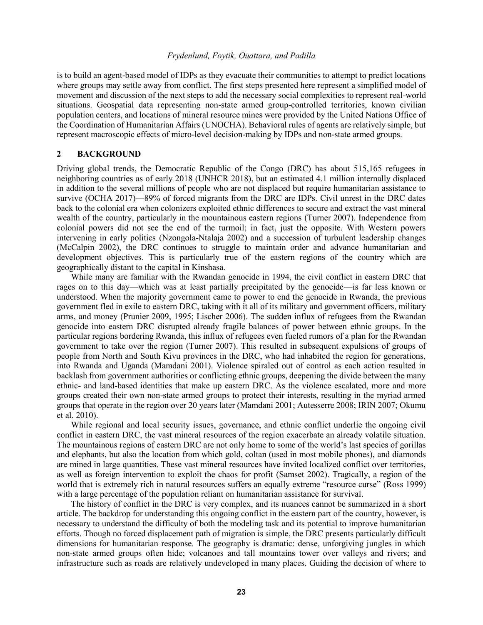is to build an agent-based model of IDPs as they evacuate their communities to attempt to predict locations where groups may settle away from conflict. The first steps presented here represent a simplified model of movement and discussion of the next steps to add the necessary social complexities to represent real-world situations. Geospatial data representing non-state armed group-controlled territories, known civilian population centers, and locations of mineral resource mines were provided by the United Nations Office of the Coordination of Humanitarian Affairs (UNOCHA). Behavioral rules of agents are relatively simple, but represent macroscopic effects of micro-level decision-making by IDPs and non-state armed groups.

## **2 BACKGROUND**

Driving global trends, the Democratic Republic of the Congo (DRC) has about 515,165 refugees in neighboring countries as of early 2018 (UNHCR 2018), but an estimated 4.1 million internally displaced in addition to the several millions of people who are not displaced but require humanitarian assistance to survive (OCHA 2017)—89% of forced migrants from the DRC are IDPs. Civil unrest in the DRC dates back to the colonial era when colonizers exploited ethnic differences to secure and extract the vast mineral wealth of the country, particularly in the mountainous eastern regions (Turner 2007). Independence from colonial powers did not see the end of the turmoil; in fact, just the opposite. With Western powers intervening in early politics (Nzongola-Ntalaja 2002) and a succession of turbulent leadership changes (McCalpin 2002), the DRC continues to struggle to maintain order and advance humanitarian and development objectives. This is particularly true of the eastern regions of the country which are geographically distant to the capital in Kinshasa.

While many are familiar with the Rwandan genocide in 1994, the civil conflict in eastern DRC that rages on to this day—which was at least partially precipitated by the genocide—is far less known or understood. When the majority government came to power to end the genocide in Rwanda, the previous government fled in exile to eastern DRC, taking with it all of its military and government officers, military arms, and money (Prunier 2009, 1995; Lischer 2006). The sudden influx of refugees from the Rwandan genocide into eastern DRC disrupted already fragile balances of power between ethnic groups. In the particular regions bordering Rwanda, this influx of refugees even fueled rumors of a plan for the Rwandan government to take over the region (Turner 2007). This resulted in subsequent expulsions of groups of people from North and South Kivu provinces in the DRC, who had inhabited the region for generations, into Rwanda and Uganda (Mamdani 2001). Violence spiraled out of control as each action resulted in backlash from government authorities or conflicting ethnic groups, deepening the divide between the many ethnic- and land-based identities that make up eastern DRC. As the violence escalated, more and more groups created their own non-state armed groups to protect their interests, resulting in the myriad armed groups that operate in the region over 20 years later (Mamdani 2001; Autesserre 2008; IRIN 2007; Okumu et al. 2010).

While regional and local security issues, governance, and ethnic conflict underlie the ongoing civil conflict in eastern DRC, the vast mineral resources of the region exacerbate an already volatile situation. The mountainous regions of eastern DRC are not only home to some of the world's last species of gorillas and elephants, but also the location from which gold, coltan (used in most mobile phones), and diamonds are mined in large quantities. These vast mineral resources have invited localized conflict over territories, as well as foreign intervention to exploit the chaos for profit (Samset 2002). Tragically, a region of the world that is extremely rich in natural resources suffers an equally extreme "resource curse" (Ross 1999) with a large percentage of the population reliant on humanitarian assistance for survival.

The history of conflict in the DRC is very complex, and its nuances cannot be summarized in a short article. The backdrop for understanding this ongoing conflict in the eastern part of the country, however, is necessary to understand the difficulty of both the modeling task and its potential to improve humanitarian efforts. Though no forced displacement path of migration is simple, the DRC presents particularly difficult dimensions for humanitarian response. The geography is dramatic: dense, unforgiving jungles in which non-state armed groups often hide; volcanoes and tall mountains tower over valleys and rivers; and infrastructure such as roads are relatively undeveloped in many places. Guiding the decision of where to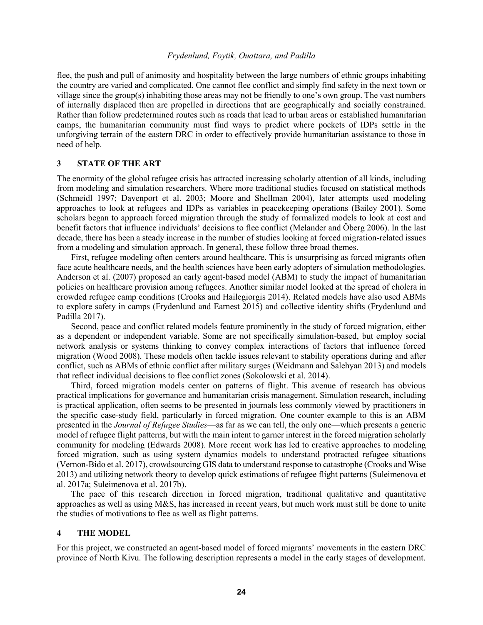flee, the push and pull of animosity and hospitality between the large numbers of ethnic groups inhabiting the country are varied and complicated. One cannot flee conflict and simply find safety in the next town or village since the group(s) inhabiting those areas may not be friendly to one's own group. The vast numbers of internally displaced then are propelled in directions that are geographically and socially constrained. Rather than follow predetermined routes such as roads that lead to urban areas or established humanitarian camps, the humanitarian community must find ways to predict where pockets of IDPs settle in the unforgiving terrain of the eastern DRC in order to effectively provide humanitarian assistance to those in need of help.

### **3 STATE OF THE ART**

The enormity of the global refugee crisis has attracted increasing scholarly attention of all kinds, including from modeling and simulation researchers. Where more traditional studies focused on statistical methods (Schmeidl 1997; Davenport et al. 2003; Moore and Shellman 2004), later attempts used modeling approaches to look at refugees and IDPs as variables in peacekeeping operations (Bailey 2001). Some scholars began to approach forced migration through the study of formalized models to look at cost and benefit factors that influence individuals' decisions to flee conflict (Melander and Öberg 2006). In the last decade, there has been a steady increase in the number of studies looking at forced migration-related issues from a modeling and simulation approach. In general, these follow three broad themes.

First, refugee modeling often centers around healthcare. This is unsurprising as forced migrants often face acute healthcare needs, and the health sciences have been early adopters of simulation methodologies. Anderson et al. (2007) proposed an early agent-based model (ABM) to study the impact of humanitarian policies on healthcare provision among refugees. Another similar model looked at the spread of cholera in crowded refugee camp conditions (Crooks and Hailegiorgis 2014). Related models have also used ABMs to explore safety in camps (Frydenlund and Earnest 2015) and collective identity shifts (Frydenlund and Padilla 2017).

Second, peace and conflict related models feature prominently in the study of forced migration, either as a dependent or independent variable. Some are not specifically simulation-based, but employ social network analysis or systems thinking to convey complex interactions of factors that influence forced migration (Wood 2008). These models often tackle issues relevant to stability operations during and after conflict, such as ABMs of ethnic conflict after military surges (Weidmann and Salehyan 2013) and models that reflect individual decisions to flee conflict zones (Sokolowski et al. 2014).

Third, forced migration models center on patterns of flight. This avenue of research has obvious practical implications for governance and humanitarian crisis management. Simulation research, including is practical application, often seems to be presented in journals less commonly viewed by practitioners in the specific case-study field, particularly in forced migration. One counter example to this is an ABM presented in the *Journal of Refugee Studies*—as far as we can tell, the only one—which presents a generic model of refugee flight patterns, but with the main intent to garner interest in the forced migration scholarly community for modeling (Edwards 2008). More recent work has led to creative approaches to modeling forced migration, such as using system dynamics models to understand protracted refugee situations (Vernon-Bido et al. 2017), crowdsourcing GIS data to understand response to catastrophe (Crooks and Wise 2013) and utilizing network theory to develop quick estimations of refugee flight patterns (Suleimenova et al. 2017a; Suleimenova et al. 2017b).

The pace of this research direction in forced migration, traditional qualitative and quantitative approaches as well as using M&S, has increased in recent years, but much work must still be done to unite the studies of motivations to flee as well as flight patterns.

### **4 THE MODEL**

For this project, we constructed an agent-based model of forced migrants' movements in the eastern DRC province of North Kivu. The following description represents a model in the early stages of development.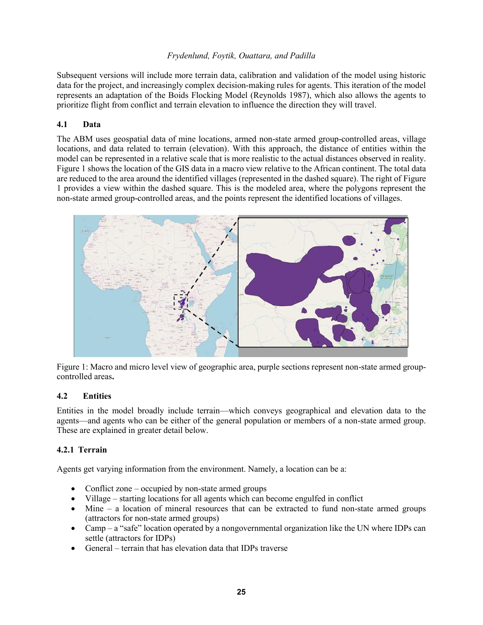Subsequent versions will include more terrain data, calibration and validation of the model using historic data for the project, and increasingly complex decision-making rules for agents. This iteration of the model represents an adaptation of the Boids Flocking Model (Reynolds 1987), which also allows the agents to prioritize flight from conflict and terrain elevation to influence the direction they will travel.

# **4.1 Data**

The ABM uses geospatial data of mine locations, armed non-state armed group-controlled areas, village locations, and data related to terrain (elevation). With this approach, the distance of entities within the model can be represented in a relative scale that is more realistic to the actual distances observed in reality. Figure 1 shows the location of the GIS data in a macro view relative to the African continent. The total data are reduced to the area around the identified villages (represented in the dashed square). The right of Figure 1 provides a view within the dashed square. This is the modeled area, where the polygons represent the non-state armed group-controlled areas, and the points represent the identified locations of villages.



Figure 1: Macro and micro level view of geographic area, purple sections represent non-state armed groupcontrolled areas**.**

## **4.2 Entities**

Entities in the model broadly include terrain—which conveys geographical and elevation data to the agents—and agents who can be either of the general population or members of a non-state armed group. These are explained in greater detail below.

## **4.2.1 Terrain**

Agents get varying information from the environment. Namely, a location can be a:

- Conflict zone occupied by non-state armed groups
- Village starting locations for all agents which can become engulfed in conflict
- Mine a location of mineral resources that can be extracted to fund non-state armed groups (attractors for non-state armed groups)
- Camp a "safe" location operated by a nongovernmental organization like the UN where IDPs can settle (attractors for IDPs)
- General terrain that has elevation data that IDPs traverse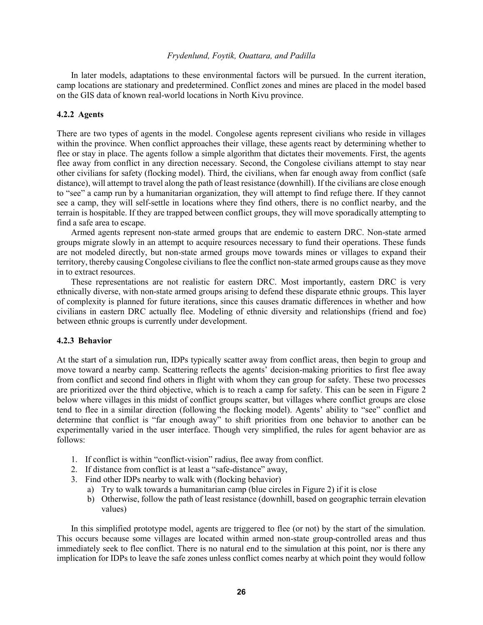In later models, adaptations to these environmental factors will be pursued. In the current iteration, camp locations are stationary and predetermined. Conflict zones and mines are placed in the model based on the GIS data of known real-world locations in North Kivu province.

#### **4.2.2 Agents**

There are two types of agents in the model. Congolese agents represent civilians who reside in villages within the province. When conflict approaches their village, these agents react by determining whether to flee or stay in place. The agents follow a simple algorithm that dictates their movements. First, the agents flee away from conflict in any direction necessary. Second, the Congolese civilians attempt to stay near other civilians for safety (flocking model). Third, the civilians, when far enough away from conflict (safe distance), will attempt to travel along the path of least resistance (downhill). If the civilians are close enough to "see" a camp run by a humanitarian organization, they will attempt to find refuge there. If they cannot see a camp, they will self-settle in locations where they find others, there is no conflict nearby, and the terrain is hospitable. If they are trapped between conflict groups, they will move sporadically attempting to find a safe area to escape.

Armed agents represent non-state armed groups that are endemic to eastern DRC. Non-state armed groups migrate slowly in an attempt to acquire resources necessary to fund their operations. These funds are not modeled directly, but non-state armed groups move towards mines or villages to expand their territory, thereby causing Congolese civilians to flee the conflict non-state armed groups cause as they move in to extract resources.

These representations are not realistic for eastern DRC. Most importantly, eastern DRC is very ethnically diverse, with non-state armed groups arising to defend these disparate ethnic groups. This layer of complexity is planned for future iterations, since this causes dramatic differences in whether and how civilians in eastern DRC actually flee. Modeling of ethnic diversity and relationships (friend and foe) between ethnic groups is currently under development.

#### **4.2.3 Behavior**

At the start of a simulation run, IDPs typically scatter away from conflict areas, then begin to group and move toward a nearby camp. Scattering reflects the agents' decision-making priorities to first flee away from conflict and second find others in flight with whom they can group for safety. These two processes are prioritized over the third objective, which is to reach a camp for safety. This can be seen in Figure 2 below where villages in this midst of conflict groups scatter, but villages where conflict groups are close tend to flee in a similar direction (following the flocking model). Agents' ability to "see" conflict and determine that conflict is "far enough away" to shift priorities from one behavior to another can be experimentally varied in the user interface. Though very simplified, the rules for agent behavior are as follows:

- 1. If conflict is within "conflict-vision" radius, flee away from conflict.
- 2. If distance from conflict is at least a "safe-distance" away,
- 3. Find other IDPs nearby to walk with (flocking behavior)
	- a) Try to walk towards a humanitarian camp (blue circles in Figure 2) if it is close
	- b) Otherwise, follow the path of least resistance (downhill, based on geographic terrain elevation values)

In this simplified prototype model, agents are triggered to flee (or not) by the start of the simulation. This occurs because some villages are located within armed non-state group-controlled areas and thus immediately seek to flee conflict. There is no natural end to the simulation at this point, nor is there any implication for IDPs to leave the safe zones unless conflict comes nearby at which point they would follow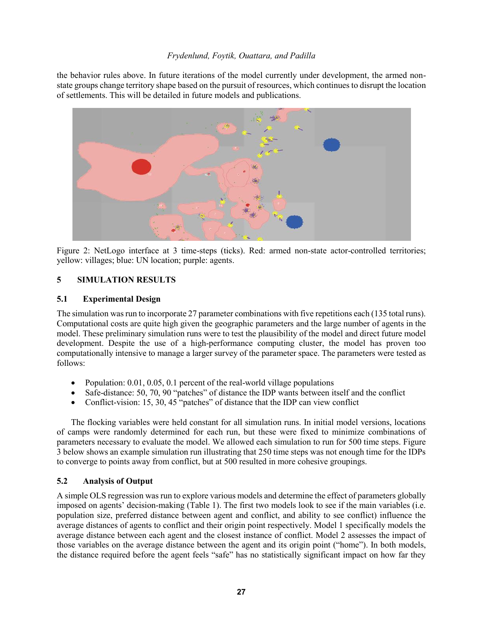the behavior rules above. In future iterations of the model currently under development, the armed nonstate groups change territory shape based on the pursuit of resources, which continues to disrupt the location of settlements. This will be detailed in future models and publications.



Figure 2: NetLogo interface at 3 time-steps (ticks). Red: armed non-state actor-controlled territories; yellow: villages; blue: UN location; purple: agents.

# **5 SIMULATION RESULTS**

## **5.1 Experimental Design**

The simulation was run to incorporate 27 parameter combinations with five repetitions each (135 total runs). Computational costs are quite high given the geographic parameters and the large number of agents in the model. These preliminary simulation runs were to test the plausibility of the model and direct future model development. Despite the use of a high-performance computing cluster, the model has proven too computationally intensive to manage a larger survey of the parameter space. The parameters were tested as follows:

- Population:  $0.01, 0.05, 0.1$  percent of the real-world village populations
- Safe-distance: 50, 70, 90 "patches" of distance the IDP wants between itself and the conflict
- Conflict-vision: 15, 30, 45 "patches" of distance that the IDP can view conflict

The flocking variables were held constant for all simulation runs. In initial model versions, locations of camps were randomly determined for each run, but these were fixed to minimize combinations of parameters necessary to evaluate the model. We allowed each simulation to run for 500 time steps. Figure 3 below shows an example simulation run illustrating that 250 time steps was not enough time for the IDPs to converge to points away from conflict, but at 500 resulted in more cohesive groupings.

# **5.2 Analysis of Output**

A simple OLS regression was run to explore various models and determine the effect of parameters globally imposed on agents' decision-making (Table 1). The first two models look to see if the main variables (i.e. population size, preferred distance between agent and conflict, and ability to see conflict) influence the average distances of agents to conflict and their origin point respectively. Model 1 specifically models the average distance between each agent and the closest instance of conflict. Model 2 assesses the impact of those variables on the average distance between the agent and its origin point ("home"). In both models, the distance required before the agent feels "safe" has no statistically significant impact on how far they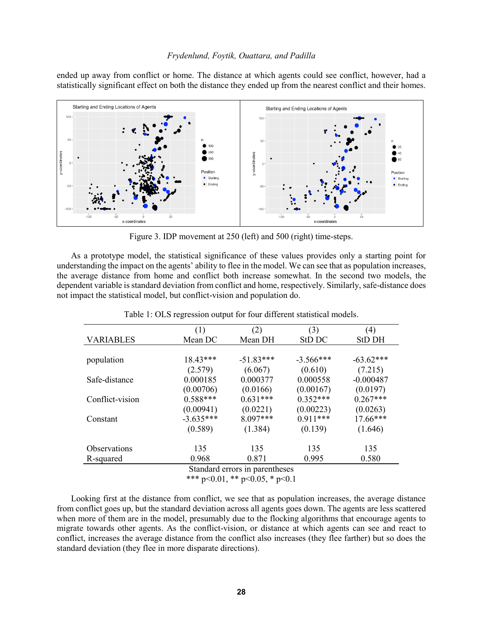ended up away from conflict or home. The distance at which agents could see conflict, however, had a statistically significant effect on both the distance they ended up from the nearest conflict and their homes.



Figure 3. IDP movement at 250 (left) and 500 (right) time-steps.

As a prototype model, the statistical significance of these values provides only a starting point for understanding the impact on the agents' ability to flee in the model. We can see that as population increases, the average distance from home and conflict both increase somewhat. In the second two models, the dependent variable is standard deviation from conflict and home, respectively. Similarly, safe-distance does not impact the statistical model, but conflict-vision and population do.

|                  | (1)         | (2)                            | (3)         | (4)           |
|------------------|-------------|--------------------------------|-------------|---------------|
| <b>VARIABLES</b> | Mean DC     | Mean DH                        | StD DC      | <b>StD DH</b> |
|                  |             |                                |             |               |
| population       | $18.43***$  | $-51.83***$                    | $-3.566***$ | $-63.62***$   |
|                  | (2.579)     | (6.067)                        | (0.610)     | (7.215)       |
| Safe-distance    | 0.000185    | 0.000377                       | 0.000558    | $-0.000487$   |
|                  | (0.00706)   | (0.0166)                       | (0.00167)   | (0.0197)      |
| Conflict-vision  | $0.588***$  | $0.631***$                     | $0.352***$  | $0.267***$    |
|                  | (0.00941)   | (0.0221)                       | (0.00223)   | (0.0263)      |
| Constant         | $-3.635***$ | $8.097***$                     | $0.911***$  | $17.66***$    |
|                  | (0.589)     | (1.384)                        | (0.139)     | (1.646)       |
| Observations     | 135         | 135                            | 135         | 135           |
| R-squared        | 0.968       | 0.871                          | 0.995       | 0.580         |
|                  |             | Standard errors in parentheses |             |               |

Table 1: OLS regression output for four different statistical models.

\*\*\* p<0.01, \*\* p<0.05, \* p<0.1

Looking first at the distance from conflict, we see that as population increases, the average distance from conflict goes up, but the standard deviation across all agents goes down. The agents are less scattered when more of them are in the model, presumably due to the flocking algorithms that encourage agents to migrate towards other agents. As the conflict-vision, or distance at which agents can see and react to conflict, increases the average distance from the conflict also increases (they flee farther) but so does the standard deviation (they flee in more disparate directions).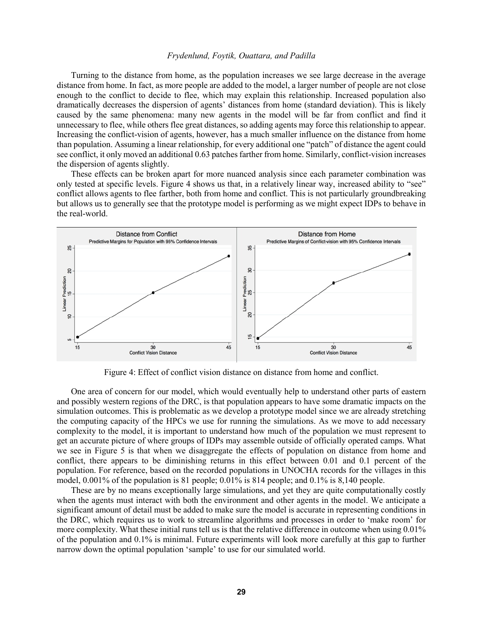Turning to the distance from home, as the population increases we see large decrease in the average distance from home. In fact, as more people are added to the model, a larger number of people are not close enough to the conflict to decide to flee, which may explain this relationship. Increased population also dramatically decreases the dispersion of agents' distances from home (standard deviation). This is likely caused by the same phenomena: many new agents in the model will be far from conflict and find it unnecessary to flee, while others flee great distances, so adding agents may force this relationship to appear. Increasing the conflict-vision of agents, however, has a much smaller influence on the distance from home than population. Assuming a linear relationship, for every additional one "patch" of distance the agent could see conflict, it only moved an additional 0.63 patches farther from home. Similarly, conflict-vision increases the dispersion of agents slightly.

These effects can be broken apart for more nuanced analysis since each parameter combination was only tested at specific levels. Figure 4 shows us that, in a relatively linear way, increased ability to "see" conflict allows agents to flee farther, both from home and conflict. This is not particularly groundbreaking but allows us to generally see that the prototype model is performing as we might expect IDPs to behave in the real-world.



Figure 4: Effect of conflict vision distance on distance from home and conflict.

One area of concern for our model, which would eventually help to understand other parts of eastern and possibly western regions of the DRC, is that population appears to have some dramatic impacts on the simulation outcomes. This is problematic as we develop a prototype model since we are already stretching the computing capacity of the HPCs we use for running the simulations. As we move to add necessary complexity to the model, it is important to understand how much of the population we must represent to get an accurate picture of where groups of IDPs may assemble outside of officially operated camps. What we see in Figure 5 is that when we disaggregate the effects of population on distance from home and conflict, there appears to be diminishing returns in this effect between 0.01 and 0.1 percent of the population. For reference, based on the recorded populations in UNOCHA records for the villages in this model, 0.001% of the population is 81 people; 0.01% is 814 people; and 0.1% is 8,140 people.

These are by no means exceptionally large simulations, and yet they are quite computationally costly when the agents must interact with both the environment and other agents in the model. We anticipate a significant amount of detail must be added to make sure the model is accurate in representing conditions in the DRC, which requires us to work to streamline algorithms and processes in order to 'make room' for more complexity. What these initial runs tell us is that the relative difference in outcome when using 0.01% of the population and 0.1% is minimal. Future experiments will look more carefully at this gap to further narrow down the optimal population 'sample' to use for our simulated world.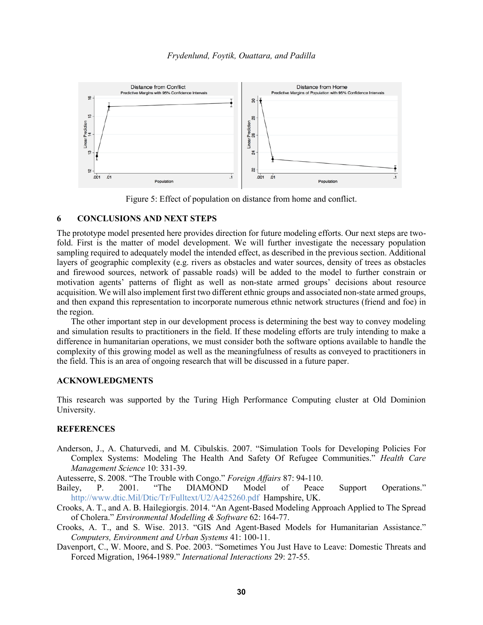

Figure 5: Effect of population on distance from home and conflict.

### **6 CONCLUSIONS AND NEXT STEPS**

The prototype model presented here provides direction for future modeling efforts. Our next steps are twofold. First is the matter of model development. We will further investigate the necessary population sampling required to adequately model the intended effect, as described in the previous section. Additional layers of geographic complexity (e.g. rivers as obstacles and water sources, density of trees as obstacles and firewood sources, network of passable roads) will be added to the model to further constrain or motivation agents' patterns of flight as well as non-state armed groups' decisions about resource acquisition. We will also implement first two different ethnic groups and associated non-state armed groups, and then expand this representation to incorporate numerous ethnic network structures (friend and foe) in the region.

The other important step in our development process is determining the best way to convey modeling and simulation results to practitioners in the field. If these modeling efforts are truly intending to make a difference in humanitarian operations, we must consider both the software options available to handle the complexity of this growing model as well as the meaningfulness of results as conveyed to practitioners in the field. This is an area of ongoing research that will be discussed in a future paper.

### **ACKNOWLEDGMENTS**

This research was supported by the Turing High Performance Computing cluster at Old Dominion University.

## **REFERENCES**

Anderson, J., A. Chaturvedi, and M. Cibulskis. 2007. "Simulation Tools for Developing Policies For Complex Systems: Modeling The Health And Safety Of Refugee Communities." *Health Care Management Science* 10: 331-39.

Autesserre, S. 2008. "The Trouble with Congo." *Foreign Affairs* 87: 94-110.

- Bailey, P. 2001. "The DIAMOND Model of Peace Support Operations." http://www.dtic.Mil/Dtic/Tr/Fulltext/U2/A425260.pdf Hampshire, UK.
- Crooks, A. T., and A. B. Hailegiorgis. 2014. "An Agent-Based Modeling Approach Applied to The Spread of Cholera." *Environmental Modelling & Software* 62: 164-77.
- Crooks, A. T., and S. Wise. 2013. "GIS And Agent-Based Models for Humanitarian Assistance." *Computers, Environment and Urban Systems* 41: 100-11.
- Davenport, C., W. Moore, and S. Poe. 2003. "Sometimes You Just Have to Leave: Domestic Threats and Forced Migration, 1964-1989." *International Interactions* 29: 27-55.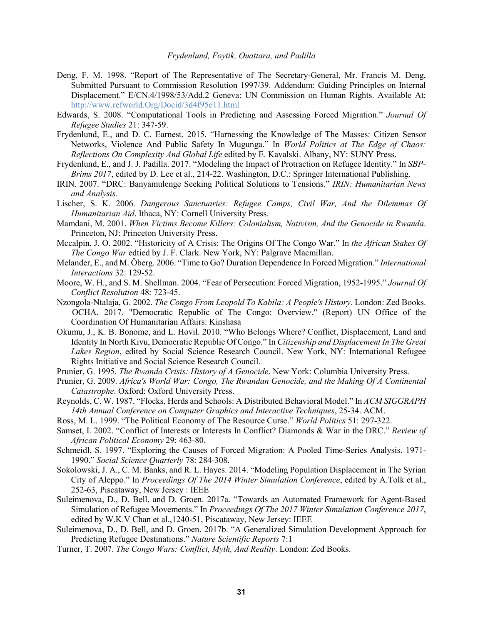- Deng, F. M. 1998. "Report of The Representative of The Secretary-General, Mr. Francis M. Deng, Submitted Pursuant to Commission Resolution 1997/39. Addendum: Guiding Principles on Internal Displacement." E/CN.4/1998/53/Add.2 Geneva: UN Commission on Human Rights. Available At: http://www.refworld.Org/Docid/3d4f95e11.html
- Edwards, S. 2008. "Computational Tools in Predicting and Assessing Forced Migration." *Journal Of Refugee Studies* 21: 347-59.
- Frydenlund, E., and D. C. Earnest. 2015. "Harnessing the Knowledge of The Masses: Citizen Sensor Networks, Violence And Public Safety In Mugunga." In *World Politics at The Edge of Chaos: Reflections On Complexity And Global Life* edited by E. Kavalski. Albany, NY: SUNY Press.
- Frydenlund, E., and J. J. Padilla. 2017. "Modeling the Impact of Protraction on Refugee Identity." In *SBP-Brims 2017*, edited by D. Lee et al., 214-22. Washington, D.C.: Springer International Publishing.
- IRIN. 2007. "DRC: Banyamulenge Seeking Political Solutions to Tensions." *IRIN: Humanitarian News and Analysis*.
- Lischer, S. K. 2006. *Dangerous Sanctuaries: Refugee Camps, Civil War, And the Dilemmas Of Humanitarian Aid*. Ithaca, NY: Cornell University Press.
- Mamdani, M. 2001. *When Victims Become Killers: Colonialism, Nativism, And the Genocide in Rwanda*. Princeton, NJ: Princeton University Press.
- Mccalpin, J. O. 2002. "Historicity of A Crisis: The Origins Of The Congo War." In *the African Stakes Of The Congo War* edtied by J. F. Clark. New York, NY: Palgrave Macmillan.
- Melander, E., and M. Öberg. 2006. "Time to Go? Duration Dependence In Forced Migration." *International Interactions* 32: 129-52.
- Moore, W. H., and S. M. Shellman. 2004. "Fear of Persecution: Forced Migration, 1952-1995." *Journal Of Conflict Resolution* 48: 723-45.
- Nzongola-Ntalaja, G. 2002. *The Congo From Leopold To Kabila: A People's History*. London: Zed Books. OCHA. 2017. "Democratic Republic of The Congo: Overview." (Report) UN Office of the Coordination Of Humanitarian Affairs: Kinshasa
- Okumu, J., K. B. Bonome, and L. Hovil. 2010. "Who Belongs Where? Conflict, Displacement, Land and Identity In North Kivu, Democratic Republic Of Congo." In *Citizenship and Displacement In The Great Lakes Region*, edited by Social Science Research Council. New York, NY: International Refugee Rights Initiative and Social Science Research Council.
- Prunier, G. 1995. *The Rwanda Crisis: History of A Genocide*. New York: Columbia University Press.
- Prunier, G. 2009. *Africa's World War: Congo, The Rwandan Genocide, and the Making Of A Continental Catastrophe*. Oxford: Oxford University Press.
- Reynolds, C. W. 1987. "Flocks, Herds and Schools: A Distributed Behavioral Model." In *ACM SIGGRAPH 14th Annual Conference on Computer Graphics and Interactive Techniques*, 25-34. ACM.
- Ross, M. L. 1999. "The Political Economy of The Resource Curse." *World Politics* 51: 297-322.
- Samset, I. 2002. "Conflict of Interests or Interests In Conflict? Diamonds & War in the DRC." *Review of African Political Economy* 29: 463-80.
- Schmeidl, S. 1997. "Exploring the Causes of Forced Migration: A Pooled Time-Series Analysis, 1971- 1990." *Social Science Quarterly* 78: 284-308.
- Sokolowski, J. A., C. M. Banks, and R. L. Hayes. 2014. "Modeling Population Displacement in The Syrian City of Aleppo." In *Proceedings Of The 2014 Winter Simulation Conference*, edited by A.Tolk et al., 252-63, Piscataway, New Jersey : IEEE
- Suleimenova, D., D. Bell, and D. Groen. 2017a. "Towards an Automated Framework for Agent-Based Simulation of Refugee Movements." In *Proceedings Of The 2017 Winter Simulation Conference 2017*, edited by W.K.V Chan et al.,1240-51, Piscataway, New Jersey: IEEE
- Suleimenova, D., D. Bell, and D. Groen. 2017b. "A Generalized Simulation Development Approach for Predicting Refugee Destinations." *Nature Scientific Reports* 7:1
- Turner, T. 2007. *The Congo Wars: Conflict, Myth, And Reality*. London: Zed Books.